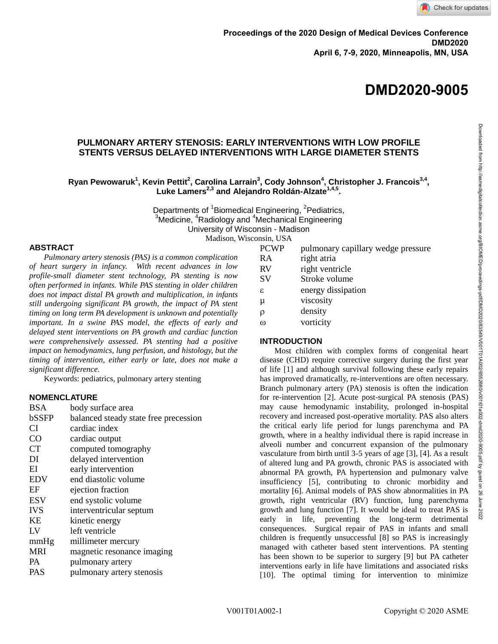**DMD2020-9005**

# **PULMONARY ARTERY STENOSIS: EARLY INTERVENTIONS WITH LOW PROFILE STENTS VERSUS DELAYED INTERVENTIONS WITH LARGE DIAMETER STENTS**

## $\mathbf{R}$ yan Pewowaruk $^1$ , Kevin Pettit $^2$ , Carolina Larrain $^3$ , Cody Johnson $^4$ , Christopher J. Francois $^{3,4}$ , **Luke Lamers2,3 and Alejandro Roldán-Alzate1,4,5 .**

Departments of <sup>1</sup>Biomedical Engineering, <sup>2</sup>Pediatrics,  $3$ Medicine,  $4$ Radiology and  $4$ Mechanical Engineering University of Wisconsin - Madison Madison, Wisconsin, USA

#### **ABSTRACT**

*Pulmonary artery stenosis (PAS) is a common complication of heart surgery in infancy. With recent advances in low profile-small diameter stent technology, PA stenting is now often performed in infants. While PAS stenting in older children does not impact distal PA growth and multiplication, in infants still undergoing significant PA growth, the impact of PA stent timing on long term PA development is unknown and potentially important. In a swine PAS model, the effects of early and delayed stent interventions on PA growth and cardiac function were comprehensively assessed. PA stenting had a positive impact on hemodynamics, lung perfusion, and histology, but the timing of intervention, either early or late, does not make a significant difference.*

Keywords: pediatrics, pulmonary artery stenting

## **NOMENCLATURE**

| BSA        | body surface area                     |
|------------|---------------------------------------|
| bSSFP      | balanced steady state free precession |
| <b>CI</b>  | cardiac index                         |
| CO         | cardiac output                        |
| <b>CT</b>  | computed tomography                   |
| DI         | delayed intervention                  |
| EI         | early intervention                    |
| <b>EDV</b> | end diastolic volume                  |
| ΕF         | ejection fraction                     |
| <b>ESV</b> | end systolic volume                   |
| <b>IVS</b> | interventricular septum               |
| KE         | kinetic energy                        |
| LV         | left ventricle                        |
| mmHg       | millimeter mercury                    |
| <b>MRI</b> | magnetic resonance imaging            |
| PA         | pulmonary artery                      |
| PAS        | pulmonary artery stenosis             |

| PCWP | pulmonary capillary wedge pressure |  |  |
|------|------------------------------------|--|--|
|      |                                    |  |  |

| <b>RA</b> | right atria        |
|-----------|--------------------|
| <b>RV</b> | right ventricle    |
| <b>SV</b> | Stroke volume      |
| ε.        | energy dissipation |
| μ         | viscosity          |
| O         | density            |
|           |                    |

ω vorticity

#### **INTRODUCTION**

Most children with complex forms of congenital heart disease (CHD) require corrective surgery during the first year of life [1] and although survival following these early repairs has improved dramatically, re-interventions are often necessary. Branch pulmonary artery (PA) stenosis is often the indication for re-intervention [2]. Acute post-surgical PA stenosis (PAS) may cause hemodynamic instability, prolonged in-hospital recovery and increased post-operative mortality. PAS also alters the critical early life period for lungs parenchyma and PA growth, where in a healthy individual there is rapid increase in alveoli number and concurrent expansion of the pulmonary vasculature from birth until 3-5 years of age [3], [4]. As a result of altered lung and PA growth, chronic PAS is associated with abnormal PA growth, PA hypertension and pulmonary valve insufficiency [5], contributing to chronic morbidity and mortality [6]. Animal models of PAS show abnormalities in PA growth, right ventricular (RV) function, lung parenchyma growth and lung function [7]. It would be ideal to treat PAS is early in life, preventing the long-term detrimental consequences. Surgical repair of PAS in infants and small children is frequently unsuccessful [8] so PAS is increasingly managed with catheter based stent interventions. PA stenting has been shown to be superior to surgery [9] but PA catheter interventions early in life have limitations and associated risks [10]. The optimal timing for intervention to minimize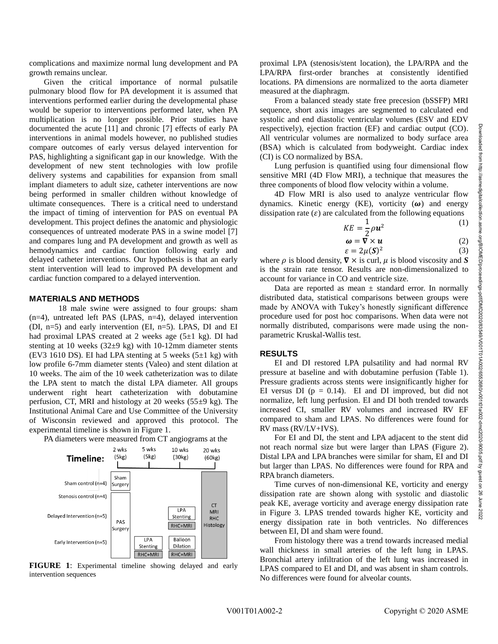complications and maximize normal lung development and PA growth remains unclear.

Given the critical importance of normal pulsatile pulmonary blood flow for PA development it is assumed that interventions performed earlier during the developmental phase would be superior to interventions performed later, when PA multiplication is no longer possible. Prior studies have documented the acute [11] and chronic [7] effects of early PA interventions in animal models however, no published studies compare outcomes of early versus delayed intervention for PAS, highlighting a significant gap in our knowledge. With the development of new stent technologies with low profile delivery systems and capabilities for expansion from small implant diameters to adult size, catheter interventions are now being performed in smaller children without knowledge of ultimate consequences. There is a critical need to understand the impact of timing of intervention for PAS on eventual PA development. This project defines the anatomic and physiologic consequences of untreated moderate PAS in a swine model [7] and compares lung and PA development and growth as well as hemodynamics and cardiac function following early and delayed catheter interventions. Our hypothesis is that an early stent intervention will lead to improved PA development and cardiac function compared to a delayed intervention.

## **MATERIALS AND METHODS**

18 male swine were assigned to four groups: sham  $(n=4)$ , untreated left PAS (LPAS,  $n=4$ ), delayed intervention (DI, n=5) and early intervention (EI, n=5). LPAS, DI and EI had proximal LPAS created at 2 weeks age  $(5\pm 1 \text{ kg})$ . DI had stenting at 10 weeks (32±9 kg) with 10-12mm diameter stents (EV3 1610 DS). EI had LPA stenting at 5 weeks  $(5\pm 1 \text{ kg})$  with low profile 6-7mm diameter stents (Valeo) and stent dilation at 10 weeks. The aim of the 10 week catheterization was to dilate the LPA stent to match the distal LPA diameter. All groups underwent right heart catheterization with dobutamine perfusion, CT, MRI and histology at 20 weeks  $(55\pm9 \text{ kg})$ . The Institutional Animal Care and Use Committee of the University of Wisconsin reviewed and approved this protocol. The experimental timeline is shown in Figure 1.

PA diameters were measured from CT angiograms at the



**FIGURE 1**: Experimental timeline showing delayed and early intervention sequences

proximal LPA (stenosis/stent location), the LPA/RPA and the LPA/RPA first-order branches at consistently identified locations. PA dimensions are normalized to the aorta diameter measured at the diaphragm.

From a balanced steady state free precesion (bSSFP) MRI sequence, short axis images are segmented to calculated end systolic and end diastolic ventricular volumes (ESV and EDV respectively), ejection fraction (EF) and cardiac output (CO). All ventricular volumes are normalized to body surface area (BSA) which is calculated from bodyweight. Cardiac index (CI) is CO normalized by BSA.

Lung perfusion is quantified using four dimensional flow sensitive MRI (4D Flow MRI), a technique that measures the three components of blood flow velocity within a volume.

4D Flow MRI is also used to analyze ventricular flow dynamics. Kinetic energy (KE), vorticity  $(\omega)$  and energy dissipation rate  $(\varepsilon)$  are calculated from the following equations

$$
KE = \frac{1}{2}\rho \mathbf{u}^2 \tag{1}
$$

$$
\boldsymbol{\omega} = \nabla \times \boldsymbol{u} \tag{2}
$$

 $\varepsilon = 2\mu(S)^2$ (3) where  $\rho$  is blood density,  $\nabla \times$  is curl,  $\mu$  is blood viscosity and *S* is the strain rate tensor. Results are non-dimensionalized to account for variance in CO and ventricle size.

Data are reported as mean  $\pm$  standard error. In normally distributed data, statistical comparisons between groups were made by ANOVA with Tukey's honestly significant difference procedure used for post hoc comparisons. When data were not normally distributed, comparisons were made using the nonparametric Kruskal-Wallis test.

#### **RESULTS**

EI and DI restored LPA pulsatility and had normal RV pressure at baseline and with dobutamine perfusion (Table 1). Pressure gradients across stents were insignificantly higher for EI versus DI ( $p = 0.14$ ). EI and DI improved, but did not normalize, left lung perfusion. EI and DI both trended towards increased CI, smaller RV volumes and increased RV EF compared to sham and LPAS. No differences were found for RV mass (RV/LV+IVS).

For EI and DI, the stent and LPA adjacent to the stent did not reach normal size but were larger than LPAS (Figure 2). Distal LPA and LPA branches were similar for sham, EI and DI but larger than LPAS. No differences were found for RPA and RPA branch diameters.

Time curves of non-dimensional KE, vorticity and energy dissipation rate are shown along with systolic and diastolic peak KE, average vorticity and average energy dissipation rate in Figure 3. LPAS trended towards higher KE, vorticity and energy dissipation rate in both ventricles. No differences between EI, DI and sham were found.

From histology there was a trend towards increased medial wall thickness in small arteries of the left lung in LPAS. Bronchial artery infiltration of the left lung was increased in LPAS compared to EI and DI, and was absent in sham controls. No differences were found for alveolar counts.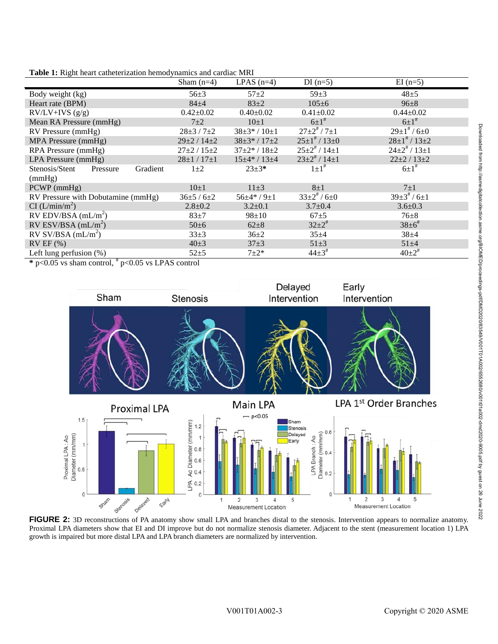|                                                                                                                                                               | Sham $(n=4)$          | LPAS $(n=4)$            | DI $(n=5)$                         | $EI(n=5)$                         |  |  |
|---------------------------------------------------------------------------------------------------------------------------------------------------------------|-----------------------|-------------------------|------------------------------------|-----------------------------------|--|--|
| Body weight (kg)                                                                                                                                              | $56 \pm 3$            | $57 + 2$                | $59 + 3$                           | $48 + 5$                          |  |  |
| Heart rate (BPM)                                                                                                                                              | $84 + 4$              | $83+2$                  | $105 \pm 6$                        | $96 \pm 8$                        |  |  |
| $RV/LV+IVS(g/g)$                                                                                                                                              | $0.42 \pm 0.02$       | $0.40 \pm 0.02$         | $0.41 \pm 0.02$                    | $0.44 \pm 0.02$                   |  |  |
| Mean RA Pressure (mmHg)                                                                                                                                       | $7\pm2$               | $10\pm1$                | $6 \pm 1$ <sup>#</sup>             | $6 \pm 1$ <sup>#</sup>            |  |  |
| RV Pressure (mmHg)                                                                                                                                            | $28 \pm 3 / 7 \pm 2$  | $38 \pm 3* / 10 \pm 1$  | $27\pm2$ <sup>#</sup> / $7\pm1$    | $29\pm1$ <sup>#</sup> / 6 $\pm$ 0 |  |  |
| MPA Pressure (mmHg)                                                                                                                                           | $29\pm2/14\pm2$       | $38\pm3*/17\pm2$        | $25\pm1$ <sup>#</sup> / 13 $\pm$ 0 | $28\pm1$ <sup>#</sup> / 13 $\pm2$ |  |  |
| RPA Pressure (mmHg)                                                                                                                                           | $27 \pm 2 / 15 \pm 2$ | $37 \pm 2* / 18 \pm 2$  | $25\pm2^*/14\pm1$                  | $24\pm2^*/13\pm1$                 |  |  |
| LPA Pressure (mmHg)                                                                                                                                           | $28 \pm 1 / 17 \pm 1$ | $15 \pm 4* / 13 \pm 4$  | $23\pm2^*/14\pm1$                  | $22 \pm 2 / 13 \pm 2$             |  |  |
| Stenosis/Stent<br>Gradient<br>Pressure                                                                                                                        | $1\pm 2$              | $23 \pm 3*$             | $1\pm1$ <sup>#</sup>               | $6 \pm 1^*$                       |  |  |
| (mmHg)                                                                                                                                                        |                       |                         |                                    |                                   |  |  |
| PCWP (mmHg)                                                                                                                                                   | $10\pm1$              | $11\pm3$                | $8\pm1$                            | $7\pm1$                           |  |  |
| RV Pressure with Dobutamine (mmHg)                                                                                                                            | $36\pm 5/6\pm 2$      | $56\pm4\cdot$ / $9\pm1$ | $33\pm2^*/6\pm0$                   | $39\pm3$ <sup>#</sup> / $6\pm1$   |  |  |
| CI (L/min/m <sup>2</sup> )                                                                                                                                    | $2.8 + 0.2$           | $3.2 \pm 0.1$           | $3.7 \pm 0.4$                      | $3.6 \pm 0.3$                     |  |  |
| RV EDV/BSA $(mL/m^2)$                                                                                                                                         | $83+7$                | $98 \pm 10$             | $67 + 5$                           | $76 + 8$                          |  |  |
| RV ESV/BSA $(mL/m^2)$                                                                                                                                         | $50 \pm 6$            | $62 \pm 8$              | $32 \pm 2^*$                       | $38 \pm 6^{\#}$                   |  |  |
| $RV$ SV/BSA (mL/m <sup>2</sup> )                                                                                                                              | $33\pm3$              | $36 \pm 2$              | $35+4$                             | $38 + 4$                          |  |  |
| $RVEF$ (%)                                                                                                                                                    | $40 \pm 3$            | $37+3$                  | $51 \pm 3$                         | $51 \pm 4$                        |  |  |
| Left lung perfusion (%)                                                                                                                                       | $52 + 5$              | $7 + 2*$                | $44\pm3^*$                         | $40{\pm}2^*$                      |  |  |
| .<br>$\sim$ $\sim$ $\sim$<br>$\mathbf{a}$ $\mathbf{a}$ $\mathbf{a}$ $\mathbf{b}$ $\mathbf{a}$ $\mathbf{b}$ $\mathbf{c}$<br>$\mathbf{v}$ $\mathbf{v}$ $\alpha$ |                       |                         |                                    |                                   |  |  |

**Table 1:** Right heart catheterization hemodynamics and cardiac MRI

 $*$  p<0.05 vs sham control,  $*$  p<0.05 vs LPAS control



Proximal LPA diameters show that EI and DI improve but do not normalize stenosis diameter. Adjacent to the stent (measurement location 1) LPA growth is impaired but more distal LPA and LPA branch diameters are normalized by intervention.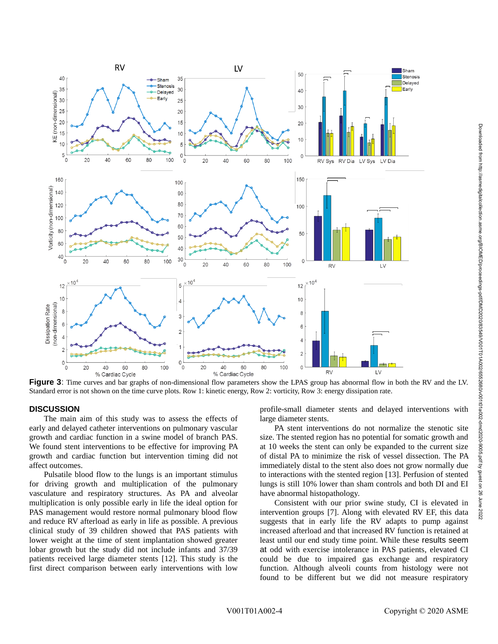

**Figure 3**: Time curves and bar graphs of non-dimensional flow parameters show the LPAS group has abnormal flow in both the RV and the LV. Standard error is not shown on the time curve plots. Row 1: kinetic energy, Row 2: vorticity, Row 3: energy dissipation rate.

#### **DISCUSSION**

The main aim of this study was to assess the effects of early and delayed catheter interventions on pulmonary vascular growth and cardiac function in a swine model of branch PAS. We found stent interventions to be effective for improving PA growth and cardiac function but intervention timing did not affect outcomes.

Pulsatile blood flow to the lungs is an important stimulus for driving growth and multiplication of the pulmonary vasculature and respiratory structures. As PA and alveolar multiplication is only possible early in life the ideal option for PAS management would restore normal pulmonary blood flow and reduce RV afterload as early in life as possible. A previous clinical study of 39 children showed that PAS patients with lower weight at the time of stent implantation showed greater lobar growth but the study did not include infants and 37/39 patients received large diameter stents [12]. This study is the first direct comparison between early interventions with low

profile-small diameter stents and delayed interventions with large diameter stents.

PA stent interventions do not normalize the stenotic site size. The stented region has no potential for somatic growth and at 10 weeks the stent can only be expanded to the current size of distal PA to minimize the risk of vessel dissection. The PA immediately distal to the stent also does not grow normally due to interactions with the stented region [13]. Perfusion of stented lungs is still 10% lower than sham controls and both DI and EI have abnormal histopathology.

Consistent with our prior swine study, CI is elevated in intervention groups [7]. Along with elevated RV EF, this data suggests that in early life the RV adapts to pump against increased afterload and that increased RV function is retained at least until our end study time point. While these results seem at odd with exercise intolerance in PAS patients, elevated CI could be due to impaired gas exchange and respiratory function. Although alveoli counts from histology were not found to be different but we did not measure respiratory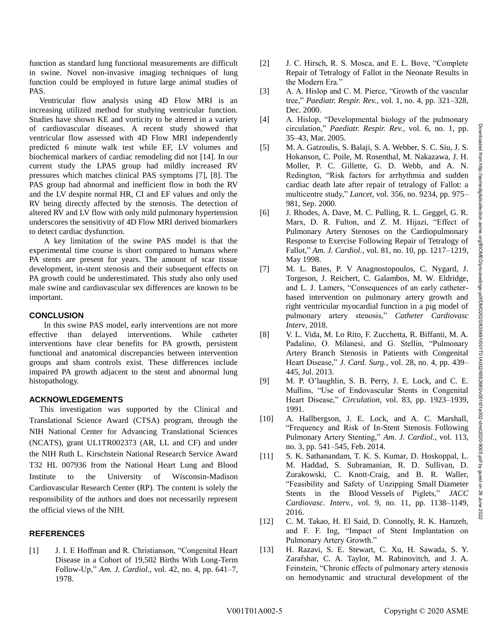function as standard lung functional measurements are difficult in swine. Novel non-invasive imaging techniques of lung function could be employed in future large animal studies of PAS.

 Ventricular flow analysis using 4D Flow MRI is an increasing utilized method for studying ventricular function. Studies have shown KE and vorticity to be altered in a variety of cardiovascular diseases. A recent study showed that ventricular flow assessed with 4D Flow MRI independently predicted 6 minute walk test while EF, LV volumes and biochemical markers of cardiac remodeling did not [14]. In our current study the LPAS group had mildly increased RV pressures which matches clinical PAS symptoms [7], [8]. The PAS group had abnormal and inefficient flow in both the RV and the LV despite normal HR, CI and EF values and only the RV being directly affected by the stenosis. The detection of altered RV and LV flow with only mild pulmonary hypertension underscores the sensitivity of 4D Flow MRI derived biomarkers to detect cardiac dysfunction.

A key limitation of the swine PAS model is that the experimental time course is short compared to humans where PA stents are present for years. The amount of scar tissue development, in-stent stenosis and their subsequent effects on PA growth could be underestimated. This study also only used male swine and cardiovascular sex differences are known to be important.

### **CONCLUSION**

In this swine PAS model, early interventions are not more effective than delayed interventions. While catheter interventions have clear benefits for PA growth, persistent functional and anatomical discrepancies between intervention groups and sham controls exist. These differences include impaired PA growth adjacent to the stent and abnormal lung histopathology.

### **ACKNOWLEDGEMENTS**

 This investigation was supported by the Clinical and Translational Science Award (CTSA) program, through the NIH National Center for Advancing Translational Sciences (NCATS), grant UL1TR002373 (AR, LL and CF) and under the NIH Ruth L. Kirschstein National Research Service Award T32 HL 007936 from the National Heart Lung and Blood Institute to the University of Wisconsin-Madison Cardiovascular Research Center (RP). The content is solely the responsibility of the authors and does not necessarily represent the official views of the NIH.

#### **REFERENCES**

[1] J. I. E Hoffman and R. Christianson, "Congenital Heart Disease in a Cohort of 19,502 Births With Long-Term Follow-Up," *Am. J. Cardiol.*, vol. 42, no. 4, pp. 641–7, 1978.

- [2] J. C. Hirsch, R. S. Mosca, and E. L. Bove, "Complete Repair of Tetralogy of Fallot in the Neonate Results in the Modern Era."
- [3] A. A. Hislop and C. M. Pierce, "Growth of the vascular tree," *Paediatr. Respir. Rev.*, vol. 1, no. 4, pp. 321–328, Dec. 2000.
- [4] A. Hislop, "Developmental biology of the pulmonary circulation," *Paediatr. Respir. Rev.*, vol. 6, no. 1, pp. 35–43, Mar. 2005.
- [5] M. A. Gatzoulis, S. Balaji, S. A. Webber, S. C. Siu, J. S. Hokanson, C. Poile, M. Rosenthal, M. Nakazawa, J. H. Moller, P. C. Gillette, G. D. Webb, and A. N. Redington, "Risk factors for arrhythmia and sudden cardiac death late after repair of tetralogy of Fallot: a multicentre study," *Lancet*, vol. 356, no. 9234, pp. 975– 981, Sep. 2000.
- [6] J. Rhodes, A. Dave, M. C. Pulling, R. L. Geggel, G. R. Marx, D. R. Fulton, and Z. M. Hijazi, "Effect of Pulmonary Artery Stenoses on the Cardiopulmonary Response to Exercise Following Repair of Tetralogy of Fallot," *Am. J. Cardiol.*, vol. 81, no. 10, pp. 1217–1219, May 1998.
- [7] M. L. Bates, P. V Anagnostopoulos, C. Nygard, J. Torgeson, J. Reichert, C. Galambos, M. W. Eldridge, and L. J. Lamers, "Consequences of an early catheterbased intervention on pulmonary artery growth and right ventricular myocardial function in a pig model of pulmonary artery stenosis," *Catheter Cardiovasc Interv*, 2018.
- [8] V. L. Vida, M. Lo Rito, F. Zucchetta, R. Biffanti, M. A. Padalino, O. Milanesi, and G. Stellin, "Pulmonary Artery Branch Stenosis in Patients with Congenital Heart Disease," *J. Card. Surg.*, vol. 28, no. 4, pp. 439– 445, Jul. 2013.
- [9] M. P. O'laughlin, S. B. Perry, J. E. Lock, and C. E. Mullins, "Use of Endovascular Stents in Congenital Heart Disease," *Circulation*, vol. 83, pp. 1923–1939, 1991.
- [10] A. Hallbergson, J. E. Lock, and A. C. Marshall, "Frequency and Risk of In-Stent Stenosis Following Pulmonary Artery Stenting," *Am. J. Cardiol.*, vol. 113, no. 3, pp. 541–545, Feb. 2014.
- [11] S. K. Sathanandam, T. K. S. Kumar, D. Hoskoppal, L. M. Haddad, S. Subramanian, R. D. Sullivan, D. Zurakowski, C. Knott-Craig, and B. R. Waller, "Feasibility and Safety of Unzipping Small Diameter Stents in the Blood Vessels of Piglets," *JACC Cardiovasc. Interv.*, vol. 9, no. 11, pp. 1138–1149, 2016.
- [12] C. M. Takao, H. El Said, D. Connolly, R. K. Hamzeh, and F. F. Ing, "Impact of Stent Implantation on Pulmonary Artery Growth."
- [13] H. Razavi, S. E. Stewart, C. Xu, H. Sawada, S. Y. Zarafshar, C. A. Taylor, M. Rabinovitch, and J. A. Feinstein, "Chronic effects of pulmonary artery stenosis on hemodynamic and structural development of the